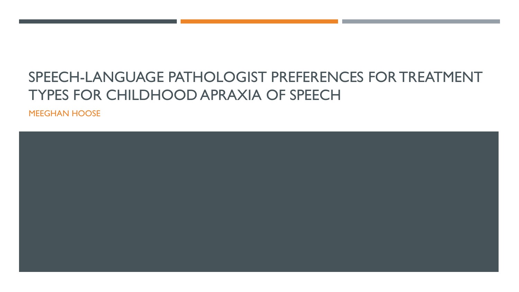# SPEECH-LANGUAGE PATHOLOGIST PREFERENCES FOR TREATMENT TYPES FOR CHILDHOOD APRAXIA OF SPEECH

MEEGHAN HOOSE

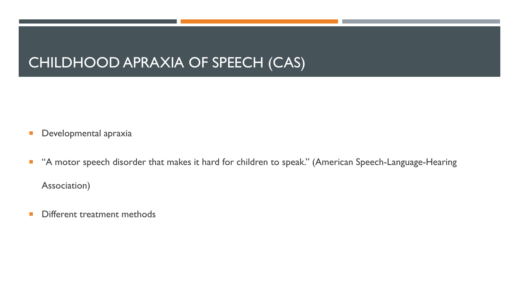### CHILDHOOD APRAXIA OF SPEECH (CAS)

- **Developmental apraxia**
- **A motor speech disorder that makes it hard for children to speak." (American Speech-Language-Hearing** Association)
- **Different treatment methods**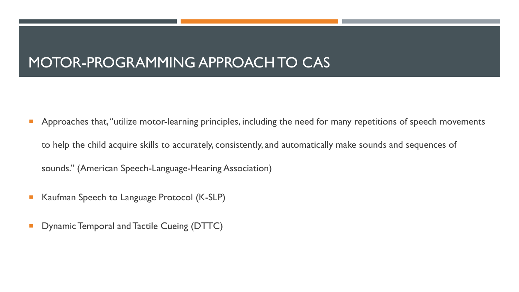## MOTOR-PROGRAMMING APPROACH TO CAS

- **Approaches that, "utilize motor-learning principles, including the need for many repetitions of speech movements** to help the child acquire skills to accurately, consistently, and automatically make sounds and sequences of sounds." (American Speech-Language-Hearing Association)
- Kaufman Speech to Language Protocol (K-SLP)
- Dynamic Temporal and Tactile Cueing (DTTC)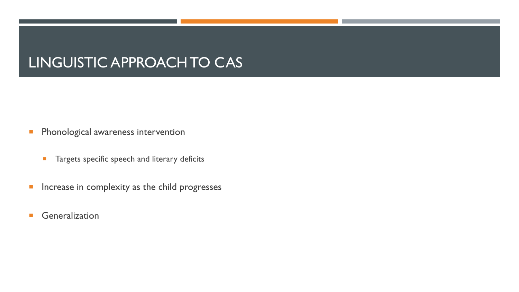## LINGUISTIC APPROACH TO CAS

- **Phonological awareness intervention** 
	- **Targets specific speech and literary deficits**
- **Increase in complexity as the child progresses**
- **Generalization**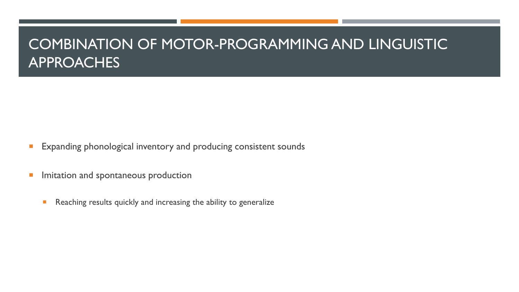## COMBINATION OF MOTOR-PROGRAMMING AND LINGUISTIC APPROACHES

- **Expanding phonological inventory and producing consistent sounds**
- **Imitation and spontaneous production** 
	- **Reaching results quickly and increasing the ability to generalize**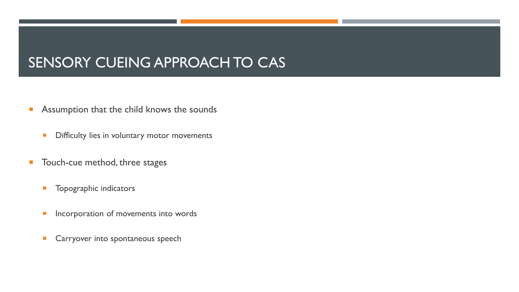# SENSORY CUEING APPROACH TO CAS

- **Assumption that the child knows the sounds** 
	- **Difficulty lies in voluntary motor movements**
- **Touch-cue method, three stages** 
	- **Topographic indicators**
	- **Incorporation of movements into words**
	- **Carryover into spontaneous speech**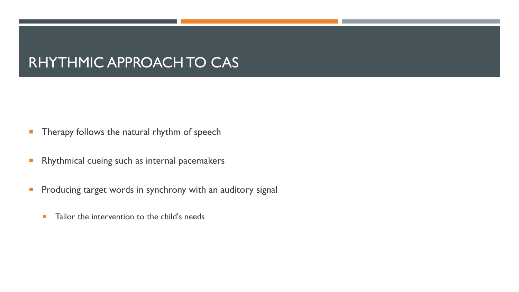## RHYTHMIC APPROACH TO CAS

- **Therapy follows the natural rhythm of speech**
- **Rhythmical cueing such as internal pacemakers**
- **Producing target words in synchrony with an auditory signal** 
	- **Tailor the intervention to the child's needs**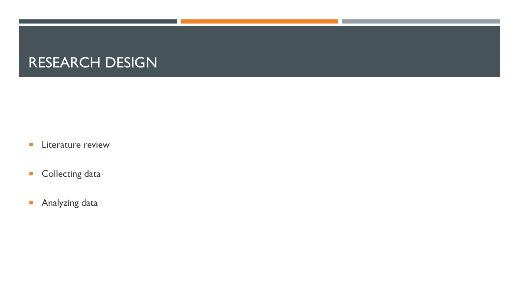## RESEARCH DESIGN

- **Literature review**
- **Collecting data**
- **Analyzing data**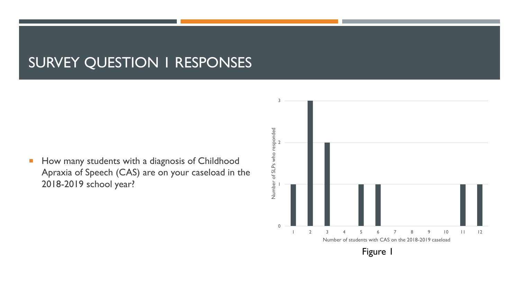#### SURVEY QUESTION 1 RESPONSES

**How many students with a diagnosis of Childhood** Apraxia of Speech (CAS) are on your caseload in the 2018-2019 school year?

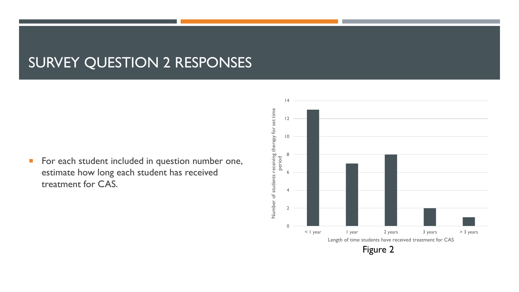#### SURVEY QUESTION 2 RESPONSES

**For each student included in question number one,** estimate how long each student has received treatment for CAS.

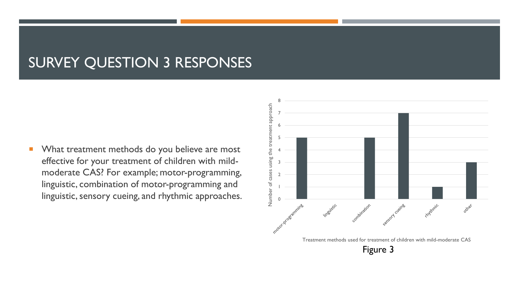#### SURVEY QUESTION 3 RESPONSES

**NAT What treatment methods do you believe are most** effective for your treatment of children with mildmoderate CAS? For example; motor-programming, linguistic, combination of motor-programming and linguistic, sensory cueing, and rhythmic approaches.

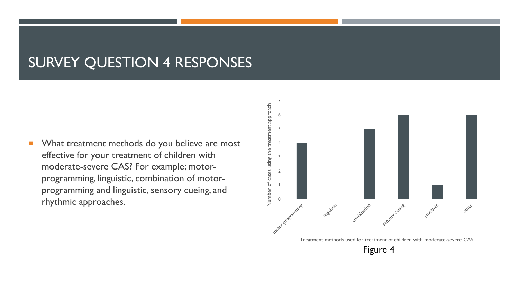#### SURVEY QUESTION 4 RESPONSES

**NAT What treatment methods do you believe are most** effective for your treatment of children with moderate-severe CAS? For example; motorprogramming, linguistic, combination of motorprogramming and linguistic, sensory cueing, and rhythmic approaches.



Figure 4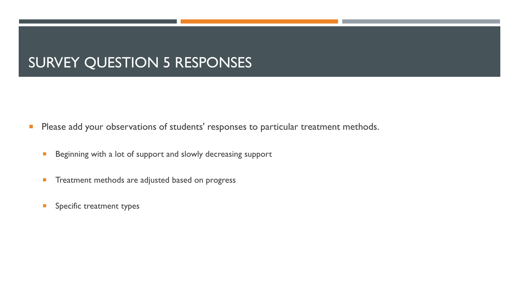### **SURVEY QUESTION 5 RESPONSES**

- **Please add your observations of students' responses to particular treatment methods.** 
	- **Beginning with a lot of support and slowly decreasing support**
	- **Treatment methods are adjusted based on progress**
	- **Specific treatment types**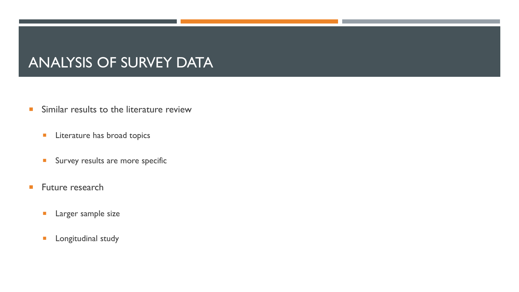### ANALYSIS OF SURVEY DATA

- **Similar results to the literature review** 
	- **Literature has broad topics**
	- **Survey results are more specific**
- **Future research** 
	- **Larger sample size**
	- **Longitudinal study**